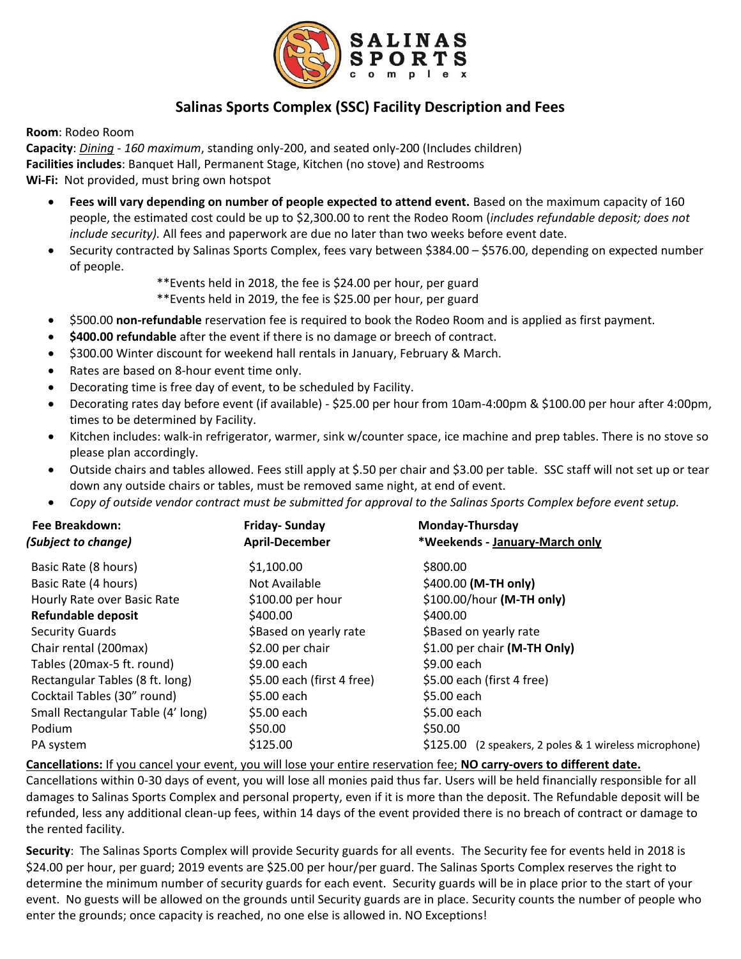

## **Salinas Sports Complex (SSC) Facility Description and Fees**

**Room**: Rodeo Room

**Capacity**: *Dining - 160 maximum*, standing only-200, and seated only-200 (Includes children) **Facilities includes**: Banquet Hall, Permanent Stage, Kitchen (no stove) and Restrooms **Wi-Fi:** Not provided, must bring own hotspot

- **Fees will vary depending on number of people expected to attend event.** Based on the maximum capacity of 160 people, the estimated cost could be up to \$2,300.00 to rent the Rodeo Room (*includes refundable deposit; does not include security).* All fees and paperwork are due no later than two weeks before event date.
- Security contracted by Salinas Sports Complex, fees vary between \$384.00 \$576.00, depending on expected number of people.

\*\*Events held in 2018, the fee is \$24.00 per hour, per guard

\*\*Events held in 2019, the fee is \$25.00 per hour, per guard

- \$500.00 **non-refundable** reservation fee is required to book the Rodeo Room and is applied as first payment.
- **\$400.00 refundable** after the event if there is no damage or breech of contract.
- \$300.00 Winter discount for weekend hall rentals in January, February & March.
- Rates are based on 8-hour event time only.
- Decorating time is free day of event, to be scheduled by Facility.
- Decorating rates day before event (if available) \$25.00 per hour from 10am-4:00pm & \$100.00 per hour after 4:00pm, times to be determined by Facility.
- Kitchen includes: walk-in refrigerator, warmer, sink w/counter space, ice machine and prep tables. There is no stove so please plan accordingly.
- Outside chairs and tables allowed. Fees still apply at \$.50 per chair and \$3.00 per table. SSC staff will not set up or tear down any outside chairs or tables, must be removed same night, at end of event.
- *Copy of outside vendor contract must be submitted for approval to the Salinas Sports Complex before event setup.*

| <b>Friday-Sunday</b><br><b>April-December</b> | Monday-Thursday<br>*Weekends - January-March only         |
|-----------------------------------------------|-----------------------------------------------------------|
|                                               |                                                           |
| Not Available                                 | \$400.00 (M-TH only)                                      |
| \$100.00 per hour                             | \$100.00/hour (M-TH only)                                 |
| \$400.00                                      | \$400.00                                                  |
| \$Based on yearly rate                        | \$Based on yearly rate                                    |
| \$2.00 per chair                              | \$1.00 per chair (M-TH Only)                              |
| \$9.00 each                                   | \$9.00 each                                               |
| \$5.00 each (first 4 free)                    | \$5.00 each (first 4 free)                                |
| \$5.00 each                                   | \$5.00 each                                               |
| \$5.00 each                                   | \$5.00 each                                               |
| \$50.00                                       | \$50.00                                                   |
| \$125.00                                      | \$125.00<br>(2 speakers, 2 poles & 1 wireless microphone) |
|                                               |                                                           |

**Cancellations:** If you cancel your event, you will lose your entire reservation fee; **NO carry-overs to different date.**

Cancellations within 0-30 days of event, you will lose all monies paid thus far. Users will be held financially responsible for all damages to Salinas Sports Complex and personal property, even if it is more than the deposit. The Refundable deposit will be refunded, less any additional clean-up fees, within 14 days of the event provided there is no breach of contract or damage to the rented facility.

**Security**: The Salinas Sports Complex will provide Security guards for all events. The Security fee for events held in 2018 is \$24.00 per hour, per guard; 2019 events are \$25.00 per hour/per guard. The Salinas Sports Complex reserves the right to determine the minimum number of security guards for each event. Security guards will be in place prior to the start of your event. No guests will be allowed on the grounds until Security guards are in place. Security counts the number of people who enter the grounds; once capacity is reached, no one else is allowed in. NO Exceptions!